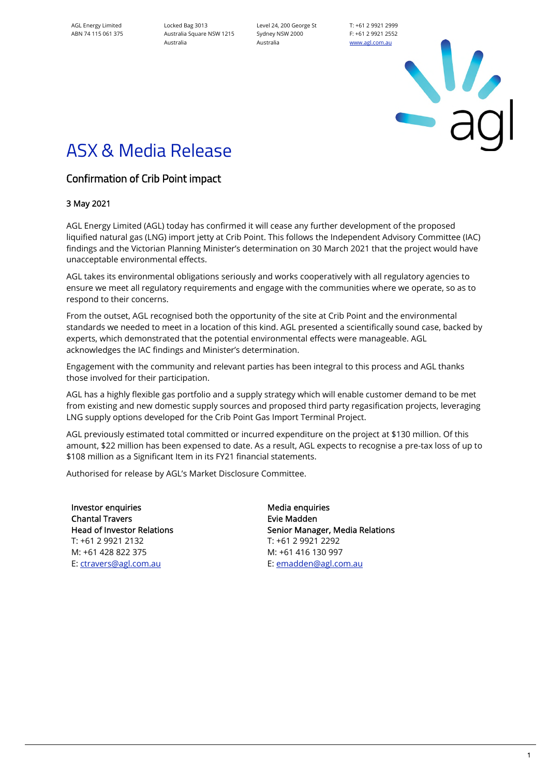AGL Energy Limited ABN 74 115 061 375

Locked Bag 3013 Australia Square NSW 1215 Australia

Level 24, 200 George St Sydney NSW 2000 Australia

T: +61 2 9921 2999 F: +61 2 9921 2552 [www.agl.com.au](https://www.agl.com.au/about-agl)

 $\frac{1}{2}$ 

## ASX & Media Release

## Confirmation of Crib Point impact

## 3 May 2021

AGL Energy Limited (AGL) today has confirmed it will cease any further development of the proposed liquified natural gas (LNG) import jetty at Crib Point. This follows the Independent Advisory Committee (IAC) findings and the Victorian Planning Minister's determination on 30 March 2021 that the project would have unacceptable environmental effects.

AGL takes its environmental obligations seriously and works cooperatively with all regulatory agencies to ensure we meet all regulatory requirements and engage with the communities where we operate, so as to respond to their concerns.

From the outset, AGL recognised both the opportunity of the site at Crib Point and the environmental standards we needed to meet in a location of this kind. AGL presented a scientifically sound case, backed by experts, which demonstrated that the potential environmental effects were manageable. AGL acknowledges the IAC findings and Minister's determination.

Engagement with the community and relevant parties has been integral to this process and AGL thanks those involved for their participation.

AGL has a highly flexible gas portfolio and a supply strategy which will enable customer demand to be met from existing and new domestic supply sources and proposed third party regasification projects, leveraging LNG supply options developed for the Crib Point Gas Import Terminal Project.

AGL previously estimated total committed or incurred expenditure on the project at \$130 million. Of this amount, \$22 million has been expensed to date. As a result, AGL expects to recognise a pre-tax loss of up to \$108 million as a Significant Item in its FY21 financial statements.

Authorised for release by AGL's Market Disclosure Committee.

Investor enquiries and a media enquiries Media enquiries Chantal Travers Head of Investor Relations T: +61 2 9921 2132 M: +61 428 822 375 E: [ctravers@agl.com.au](mailto:ctravers@agl.com.au) 

Evie Madden Senior Manager, Media Relations T: +61 2 9921 2292 M: +61 416 130 997 E[: emadden@agl.com.au](mailto:EMadden@agl.com.au)